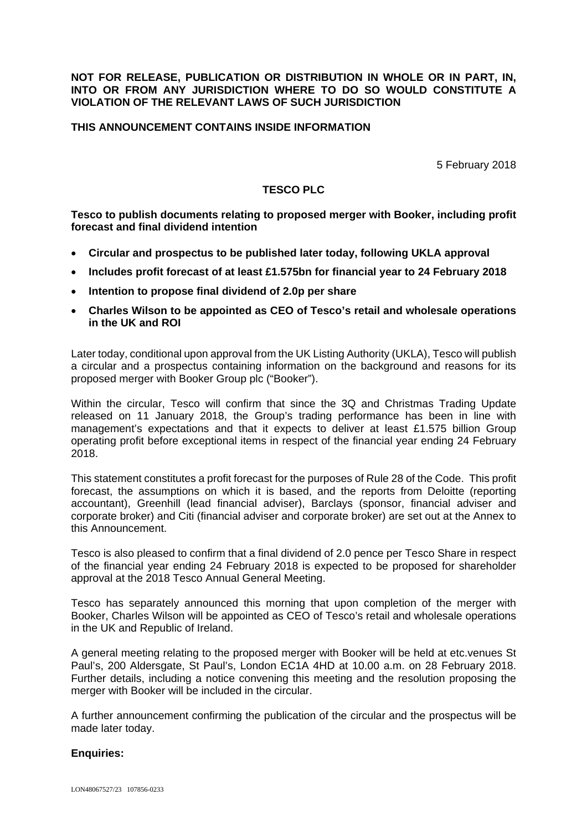#### **NOT FOR RELEASE, PUBLICATION OR DISTRIBUTION IN WHOLE OR IN PART, IN, INTO OR FROM ANY JURISDICTION WHERE TO DO SO WOULD CONSTITUTE A VIOLATION OF THE RELEVANT LAWS OF SUCH JURISDICTION**

### **THIS ANNOUNCEMENT CONTAINS INSIDE INFORMATION**

5 February 2018

#### **TESCO PLC**

**Tesco to publish documents relating to proposed merger with Booker, including profit forecast and final dividend intention** 

- **Circular and prospectus to be published later today, following UKLA approval**
- **Includes profit forecast of at least £1.575bn for financial year to 24 February 2018**
- **Intention to propose final dividend of 2.0p per share**
- **Charles Wilson to be appointed as CEO of Tesco's retail and wholesale operations in the UK and ROI**

Later today, conditional upon approval from the UK Listing Authority (UKLA), Tesco will publish a circular and a prospectus containing information on the background and reasons for its proposed merger with Booker Group plc ("Booker").

Within the circular, Tesco will confirm that since the 3Q and Christmas Trading Update released on 11 January 2018, the Group's trading performance has been in line with management's expectations and that it expects to deliver at least £1.575 billion Group operating profit before exceptional items in respect of the financial year ending 24 February 2018.

This statement constitutes a profit forecast for the purposes of Rule 28 of the Code. This profit forecast, the assumptions on which it is based, and the reports from Deloitte (reporting accountant), Greenhill (lead financial adviser), Barclays (sponsor, financial adviser and corporate broker) and Citi (financial adviser and corporate broker) are set out at the Annex to this Announcement.

Tesco is also pleased to confirm that a final dividend of 2.0 pence per Tesco Share in respect of the financial year ending 24 February 2018 is expected to be proposed for shareholder approval at the 2018 Tesco Annual General Meeting.

Tesco has separately announced this morning that upon completion of the merger with Booker, Charles Wilson will be appointed as CEO of Tesco's retail and wholesale operations in the UK and Republic of Ireland.

A general meeting relating to the proposed merger with Booker will be held at etc.venues St Paul's, 200 Aldersgate, St Paul's, London EC1A 4HD at 10.00 a.m. on 28 February 2018. Further details, including a notice convening this meeting and the resolution proposing the merger with Booker will be included in the circular.

A further announcement confirming the publication of the circular and the prospectus will be made later today.

#### **Enquiries:**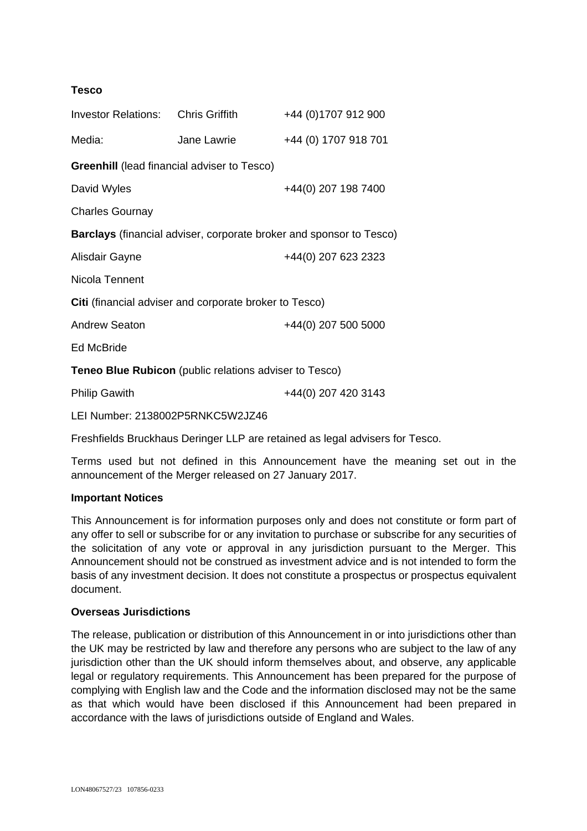## **Tesco**

| <b>Investor Relations:</b> Chris Griffith                                  |             | +44 (0) 1707 912 900 |
|----------------------------------------------------------------------------|-------------|----------------------|
| Media:                                                                     | Jane Lawrie | +44 (0) 1707 918 701 |
| <b>Greenhill</b> (lead financial adviser to Tesco)                         |             |                      |
| David Wyles                                                                |             | +44(0) 207 198 7400  |
| <b>Charles Gournay</b>                                                     |             |                      |
| <b>Barclays</b> (financial adviser, corporate broker and sponsor to Tesco) |             |                      |
| Alisdair Gayne                                                             |             | +44(0) 207 623 2323  |
| Nicola Tennent                                                             |             |                      |
| Citi (financial adviser and corporate broker to Tesco)                     |             |                      |
| <b>Andrew Seaton</b>                                                       |             | +44(0) 207 500 5000  |
| Ed McBride                                                                 |             |                      |
| Teneo Blue Rubicon (public relations adviser to Tesco)                     |             |                      |
| <b>Philip Gawith</b>                                                       |             | +44(0) 207 420 3143  |
|                                                                            |             |                      |

LEI Number: 2138002P5RNKC5W2JZ46

Freshfields Bruckhaus Deringer LLP are retained as legal advisers for Tesco.

Terms used but not defined in this Announcement have the meaning set out in the announcement of the Merger released on 27 January 2017.

#### **Important Notices**

This Announcement is for information purposes only and does not constitute or form part of any offer to sell or subscribe for or any invitation to purchase or subscribe for any securities of the solicitation of any vote or approval in any jurisdiction pursuant to the Merger. This Announcement should not be construed as investment advice and is not intended to form the basis of any investment decision. It does not constitute a prospectus or prospectus equivalent document.

#### **Overseas Jurisdictions**

The release, publication or distribution of this Announcement in or into jurisdictions other than the UK may be restricted by law and therefore any persons who are subject to the law of any jurisdiction other than the UK should inform themselves about, and observe, any applicable legal or regulatory requirements. This Announcement has been prepared for the purpose of complying with English law and the Code and the information disclosed may not be the same as that which would have been disclosed if this Announcement had been prepared in accordance with the laws of jurisdictions outside of England and Wales.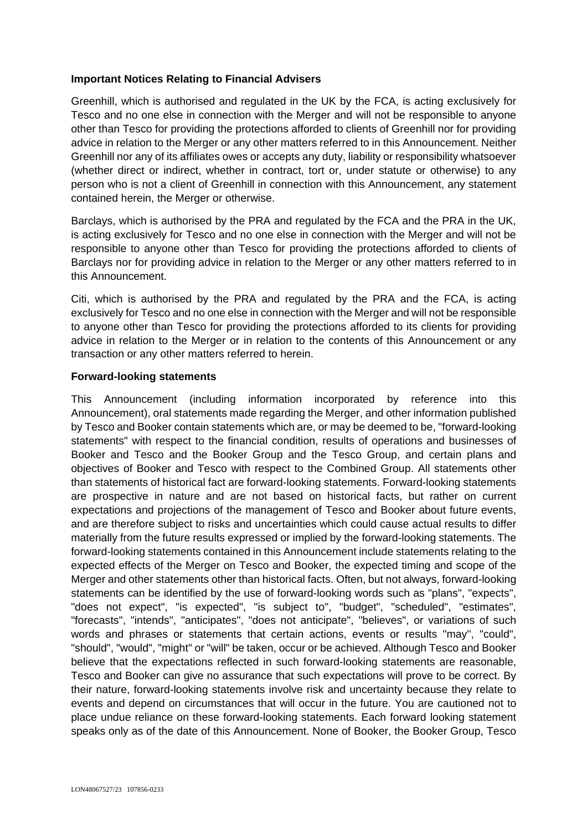### **Important Notices Relating to Financial Advisers**

Greenhill, which is authorised and regulated in the UK by the FCA, is acting exclusively for Tesco and no one else in connection with the Merger and will not be responsible to anyone other than Tesco for providing the protections afforded to clients of Greenhill nor for providing advice in relation to the Merger or any other matters referred to in this Announcement. Neither Greenhill nor any of its affiliates owes or accepts any duty, liability or responsibility whatsoever (whether direct or indirect, whether in contract, tort or, under statute or otherwise) to any person who is not a client of Greenhill in connection with this Announcement, any statement contained herein, the Merger or otherwise.

Barclays, which is authorised by the PRA and regulated by the FCA and the PRA in the UK, is acting exclusively for Tesco and no one else in connection with the Merger and will not be responsible to anyone other than Tesco for providing the protections afforded to clients of Barclays nor for providing advice in relation to the Merger or any other matters referred to in this Announcement.

Citi, which is authorised by the PRA and regulated by the PRA and the FCA, is acting exclusively for Tesco and no one else in connection with the Merger and will not be responsible to anyone other than Tesco for providing the protections afforded to its clients for providing advice in relation to the Merger or in relation to the contents of this Announcement or any transaction or any other matters referred to herein.

#### **Forward-looking statements**

This Announcement (including information incorporated by reference into this Announcement), oral statements made regarding the Merger, and other information published by Tesco and Booker contain statements which are, or may be deemed to be, "forward-looking statements" with respect to the financial condition, results of operations and businesses of Booker and Tesco and the Booker Group and the Tesco Group, and certain plans and objectives of Booker and Tesco with respect to the Combined Group. All statements other than statements of historical fact are forward-looking statements. Forward-looking statements are prospective in nature and are not based on historical facts, but rather on current expectations and projections of the management of Tesco and Booker about future events, and are therefore subject to risks and uncertainties which could cause actual results to differ materially from the future results expressed or implied by the forward-looking statements. The forward-looking statements contained in this Announcement include statements relating to the expected effects of the Merger on Tesco and Booker, the expected timing and scope of the Merger and other statements other than historical facts. Often, but not always, forward-looking statements can be identified by the use of forward-looking words such as "plans", "expects", "does not expect", "is expected", "is subject to", "budget", "scheduled", "estimates", "forecasts", "intends", "anticipates", "does not anticipate", "believes", or variations of such words and phrases or statements that certain actions, events or results "may", "could", "should", "would", "might" or "will" be taken, occur or be achieved. Although Tesco and Booker believe that the expectations reflected in such forward-looking statements are reasonable, Tesco and Booker can give no assurance that such expectations will prove to be correct. By their nature, forward-looking statements involve risk and uncertainty because they relate to events and depend on circumstances that will occur in the future. You are cautioned not to place undue reliance on these forward-looking statements. Each forward looking statement speaks only as of the date of this Announcement. None of Booker, the Booker Group, Tesco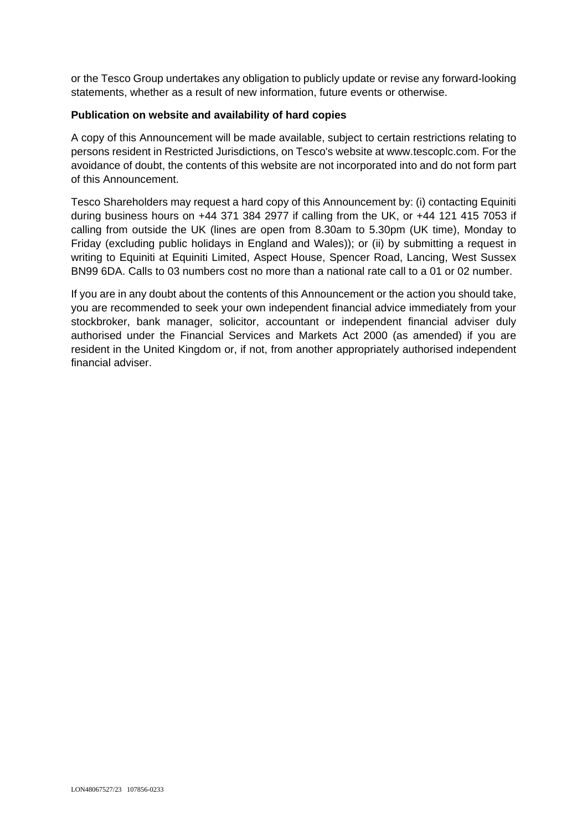or the Tesco Group undertakes any obligation to publicly update or revise any forward-looking statements, whether as a result of new information, future events or otherwise.

### **Publication on website and availability of hard copies**

A copy of this Announcement will be made available, subject to certain restrictions relating to persons resident in Restricted Jurisdictions, on Tesco's website at www.tescoplc.com. For the avoidance of doubt, the contents of this website are not incorporated into and do not form part of this Announcement.

Tesco Shareholders may request a hard copy of this Announcement by: (i) contacting Equiniti during business hours on +44 371 384 2977 if calling from the UK, or +44 121 415 7053 if calling from outside the UK (lines are open from 8.30am to 5.30pm (UK time), Monday to Friday (excluding public holidays in England and Wales)); or (ii) by submitting a request in writing to Equiniti at Equiniti Limited, Aspect House, Spencer Road, Lancing, West Sussex BN99 6DA. Calls to 03 numbers cost no more than a national rate call to a 01 or 02 number.

If you are in any doubt about the contents of this Announcement or the action you should take, you are recommended to seek your own independent financial advice immediately from your stockbroker, bank manager, solicitor, accountant or independent financial adviser duly authorised under the Financial Services and Markets Act 2000 (as amended) if you are resident in the United Kingdom or, if not, from another appropriately authorised independent financial adviser.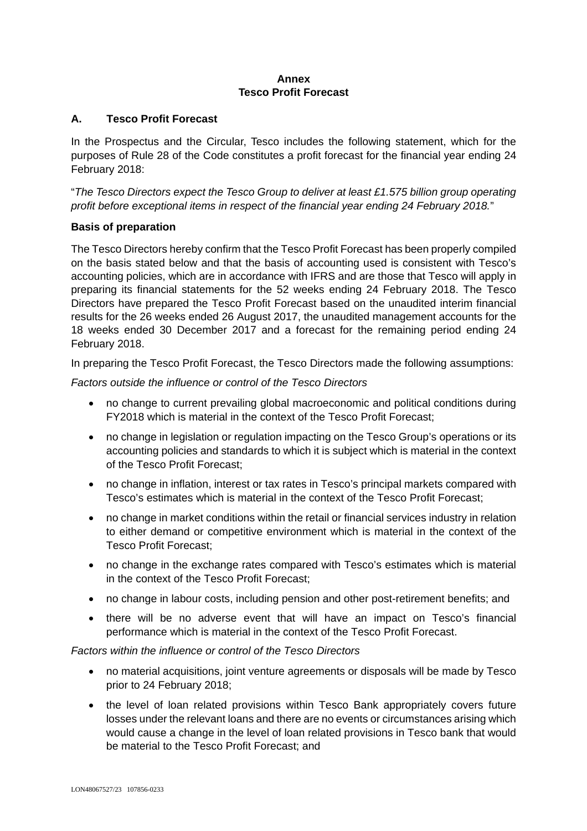### **Annex Tesco Profit Forecast**

# **A. Tesco Profit Forecast**

In the Prospectus and the Circular, Tesco includes the following statement, which for the purposes of Rule 28 of the Code constitutes a profit forecast for the financial year ending 24 February 2018:

"*The Tesco Directors expect the Tesco Group to deliver at least £1.575 billion group operating profit before exceptional items in respect of the financial year ending 24 February 2018.*"

# **Basis of preparation**

The Tesco Directors hereby confirm that the Tesco Profit Forecast has been properly compiled on the basis stated below and that the basis of accounting used is consistent with Tesco's accounting policies, which are in accordance with IFRS and are those that Tesco will apply in preparing its financial statements for the 52 weeks ending 24 February 2018. The Tesco Directors have prepared the Tesco Profit Forecast based on the unaudited interim financial results for the 26 weeks ended 26 August 2017, the unaudited management accounts for the 18 weeks ended 30 December 2017 and a forecast for the remaining period ending 24 February 2018.

In preparing the Tesco Profit Forecast, the Tesco Directors made the following assumptions:

*Factors outside the influence or control of the Tesco Directors* 

- no change to current prevailing global macroeconomic and political conditions during FY2018 which is material in the context of the Tesco Profit Forecast;
- no change in legislation or regulation impacting on the Tesco Group's operations or its accounting policies and standards to which it is subject which is material in the context of the Tesco Profit Forecast;
- no change in inflation, interest or tax rates in Tesco's principal markets compared with Tesco's estimates which is material in the context of the Tesco Profit Forecast;
- no change in market conditions within the retail or financial services industry in relation to either demand or competitive environment which is material in the context of the Tesco Profit Forecast;
- no change in the exchange rates compared with Tesco's estimates which is material in the context of the Tesco Profit Forecast;
- no change in labour costs, including pension and other post-retirement benefits; and
- there will be no adverse event that will have an impact on Tesco's financial performance which is material in the context of the Tesco Profit Forecast.

## *Factors within the influence or control of the Tesco Directors*

- no material acquisitions, joint venture agreements or disposals will be made by Tesco prior to 24 February 2018;
- the level of loan related provisions within Tesco Bank appropriately covers future losses under the relevant loans and there are no events or circumstances arising which would cause a change in the level of loan related provisions in Tesco bank that would be material to the Tesco Profit Forecast; and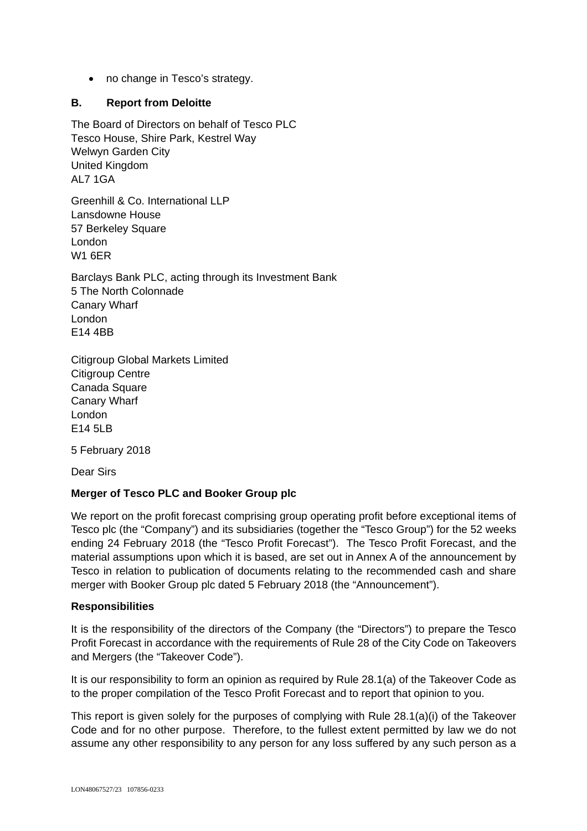• no change in Tesco's strategy.

# **B. Report from Deloitte**

The Board of Directors on behalf of Tesco PLC Tesco House, Shire Park, Kestrel Way Welwyn Garden City United Kingdom AL7 1GA

Greenhill & Co. International LLP Lansdowne House 57 Berkeley Square London W1 6ER

Barclays Bank PLC, acting through its Investment Bank 5 The North Colonnade Canary Wharf London E14 4BB

Citigroup Global Markets Limited Citigroup Centre Canada Square Canary Wharf London E14 5LB

5 February 2018

Dear Sirs

# **Merger of Tesco PLC and Booker Group plc**

We report on the profit forecast comprising group operating profit before exceptional items of Tesco plc (the "Company") and its subsidiaries (together the "Tesco Group") for the 52 weeks ending 24 February 2018 (the "Tesco Profit Forecast"). The Tesco Profit Forecast, and the material assumptions upon which it is based, are set out in Annex A of the announcement by Tesco in relation to publication of documents relating to the recommended cash and share merger with Booker Group plc dated 5 February 2018 (the "Announcement").

## **Responsibilities**

It is the responsibility of the directors of the Company (the "Directors") to prepare the Tesco Profit Forecast in accordance with the requirements of Rule 28 of the City Code on Takeovers and Mergers (the "Takeover Code").

It is our responsibility to form an opinion as required by Rule 28.1(a) of the Takeover Code as to the proper compilation of the Tesco Profit Forecast and to report that opinion to you.

This report is given solely for the purposes of complying with Rule 28.1(a)(i) of the Takeover Code and for no other purpose. Therefore, to the fullest extent permitted by law we do not assume any other responsibility to any person for any loss suffered by any such person as a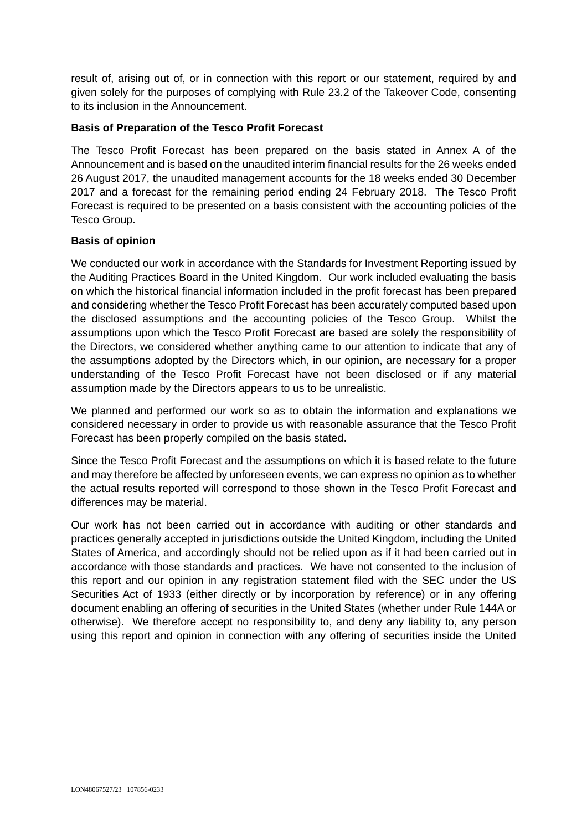result of, arising out of, or in connection with this report or our statement, required by and given solely for the purposes of complying with Rule 23.2 of the Takeover Code, consenting to its inclusion in the Announcement.

## **Basis of Preparation of the Tesco Profit Forecast**

The Tesco Profit Forecast has been prepared on the basis stated in Annex A of the Announcement and is based on the unaudited interim financial results for the 26 weeks ended 26 August 2017, the unaudited management accounts for the 18 weeks ended 30 December 2017 and a forecast for the remaining period ending 24 February 2018. The Tesco Profit Forecast is required to be presented on a basis consistent with the accounting policies of the Tesco Group.

## **Basis of opinion**

We conducted our work in accordance with the Standards for Investment Reporting issued by the Auditing Practices Board in the United Kingdom. Our work included evaluating the basis on which the historical financial information included in the profit forecast has been prepared and considering whether the Tesco Profit Forecast has been accurately computed based upon the disclosed assumptions and the accounting policies of the Tesco Group. Whilst the assumptions upon which the Tesco Profit Forecast are based are solely the responsibility of the Directors, we considered whether anything came to our attention to indicate that any of the assumptions adopted by the Directors which, in our opinion, are necessary for a proper understanding of the Tesco Profit Forecast have not been disclosed or if any material assumption made by the Directors appears to us to be unrealistic.

We planned and performed our work so as to obtain the information and explanations we considered necessary in order to provide us with reasonable assurance that the Tesco Profit Forecast has been properly compiled on the basis stated.

Since the Tesco Profit Forecast and the assumptions on which it is based relate to the future and may therefore be affected by unforeseen events, we can express no opinion as to whether the actual results reported will correspond to those shown in the Tesco Profit Forecast and differences may be material.

Our work has not been carried out in accordance with auditing or other standards and practices generally accepted in jurisdictions outside the United Kingdom, including the United States of America, and accordingly should not be relied upon as if it had been carried out in accordance with those standards and practices. We have not consented to the inclusion of this report and our opinion in any registration statement filed with the SEC under the US Securities Act of 1933 (either directly or by incorporation by reference) or in any offering document enabling an offering of securities in the United States (whether under Rule 144A or otherwise). We therefore accept no responsibility to, and deny any liability to, any person using this report and opinion in connection with any offering of securities inside the United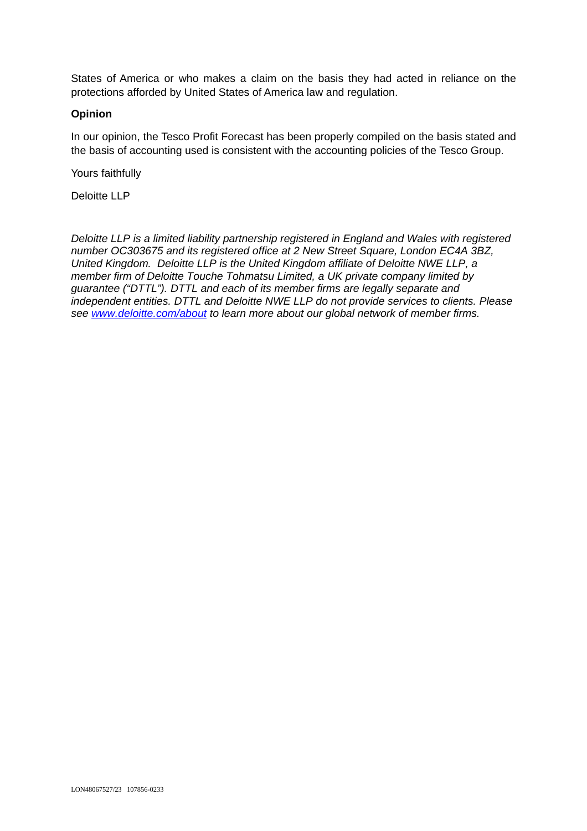States of America or who makes a claim on the basis they had acted in reliance on the protections afforded by United States of America law and regulation.

### **Opinion**

In our opinion, the Tesco Profit Forecast has been properly compiled on the basis stated and the basis of accounting used is consistent with the accounting policies of the Tesco Group.

Yours faithfully

Deloitte LLP

*Deloitte LLP is a limited liability partnership registered in England and Wales with registered number OC303675 and its registered office at 2 New Street Square, London EC4A 3BZ, United Kingdom. Deloitte LLP is the United Kingdom affiliate of Deloitte NWE LLP, a member firm of Deloitte Touche Tohmatsu Limited, a UK private company limited by guarantee ("DTTL"). DTTL and each of its member firms are legally separate and independent entities. DTTL and Deloitte NWE LLP do not provide services to clients. Please see www.deloitte.com/about to learn more about our global network of member firms.*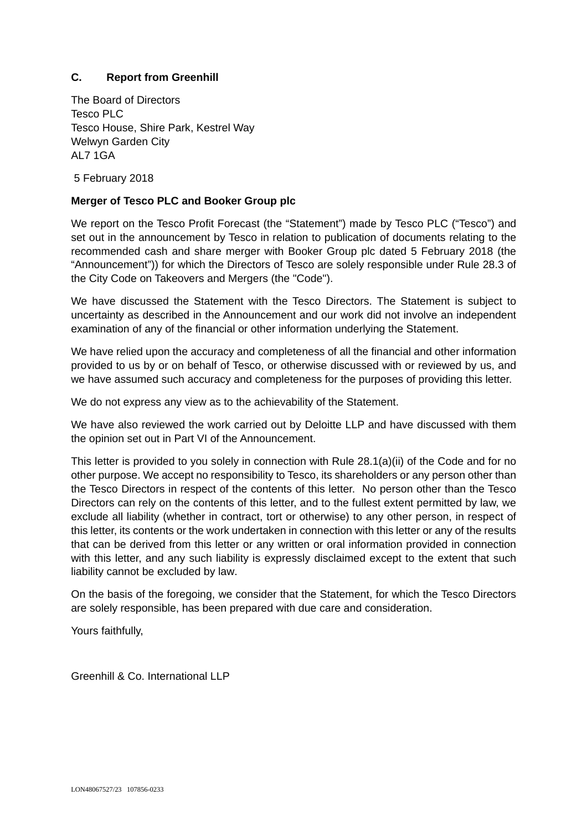## **C. Report from Greenhill**

The Board of Directors Tesco PLC Tesco House, Shire Park, Kestrel Way Welwyn Garden City AL7 1GA

5 February 2018

## **Merger of Tesco PLC and Booker Group plc**

We report on the Tesco Profit Forecast (the "Statement") made by Tesco PLC ("Tesco") and set out in the announcement by Tesco in relation to publication of documents relating to the recommended cash and share merger with Booker Group plc dated 5 February 2018 (the "Announcement")) for which the Directors of Tesco are solely responsible under Rule 28.3 of the City Code on Takeovers and Mergers (the "Code").

We have discussed the Statement with the Tesco Directors. The Statement is subject to uncertainty as described in the Announcement and our work did not involve an independent examination of any of the financial or other information underlying the Statement.

We have relied upon the accuracy and completeness of all the financial and other information provided to us by or on behalf of Tesco, or otherwise discussed with or reviewed by us, and we have assumed such accuracy and completeness for the purposes of providing this letter.

We do not express any view as to the achievability of the Statement.

We have also reviewed the work carried out by Deloitte LLP and have discussed with them the opinion set out in Part VI of the Announcement.

This letter is provided to you solely in connection with Rule 28.1(a)(ii) of the Code and for no other purpose. We accept no responsibility to Tesco, its shareholders or any person other than the Tesco Directors in respect of the contents of this letter. No person other than the Tesco Directors can rely on the contents of this letter, and to the fullest extent permitted by law, we exclude all liability (whether in contract, tort or otherwise) to any other person, in respect of this letter, its contents or the work undertaken in connection with this letter or any of the results that can be derived from this letter or any written or oral information provided in connection with this letter, and any such liability is expressly disclaimed except to the extent that such liability cannot be excluded by law.

On the basis of the foregoing, we consider that the Statement, for which the Tesco Directors are solely responsible, has been prepared with due care and consideration.

Yours faithfully,

Greenhill & Co. International LLP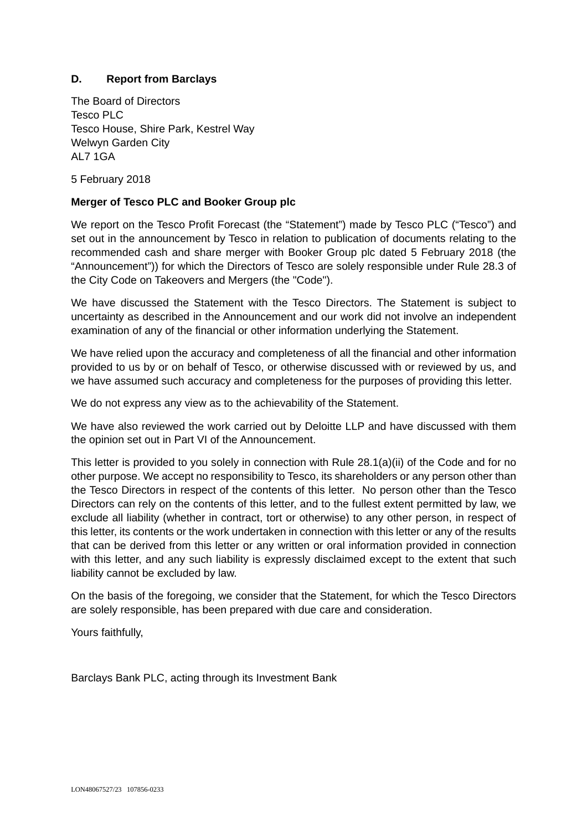# **D. Report from Barclays**

The Board of Directors Tesco PLC Tesco House, Shire Park, Kestrel Way Welwyn Garden City AL7 1GA

5 February 2018

### **Merger of Tesco PLC and Booker Group plc**

We report on the Tesco Profit Forecast (the "Statement") made by Tesco PLC ("Tesco") and set out in the announcement by Tesco in relation to publication of documents relating to the recommended cash and share merger with Booker Group plc dated 5 February 2018 (the "Announcement")) for which the Directors of Tesco are solely responsible under Rule 28.3 of the City Code on Takeovers and Mergers (the "Code").

We have discussed the Statement with the Tesco Directors. The Statement is subject to uncertainty as described in the Announcement and our work did not involve an independent examination of any of the financial or other information underlying the Statement.

We have relied upon the accuracy and completeness of all the financial and other information provided to us by or on behalf of Tesco, or otherwise discussed with or reviewed by us, and we have assumed such accuracy and completeness for the purposes of providing this letter.

We do not express any view as to the achievability of the Statement.

We have also reviewed the work carried out by Deloitte LLP and have discussed with them the opinion set out in Part VI of the Announcement.

This letter is provided to you solely in connection with Rule 28.1(a)(ii) of the Code and for no other purpose. We accept no responsibility to Tesco, its shareholders or any person other than the Tesco Directors in respect of the contents of this letter. No person other than the Tesco Directors can rely on the contents of this letter, and to the fullest extent permitted by law, we exclude all liability (whether in contract, tort or otherwise) to any other person, in respect of this letter, its contents or the work undertaken in connection with this letter or any of the results that can be derived from this letter or any written or oral information provided in connection with this letter, and any such liability is expressly disclaimed except to the extent that such liability cannot be excluded by law.

On the basis of the foregoing, we consider that the Statement, for which the Tesco Directors are solely responsible, has been prepared with due care and consideration.

Yours faithfully,

Barclays Bank PLC, acting through its Investment Bank